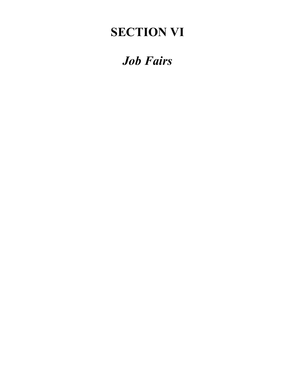## **SECTION VI**

# *Job Fairs*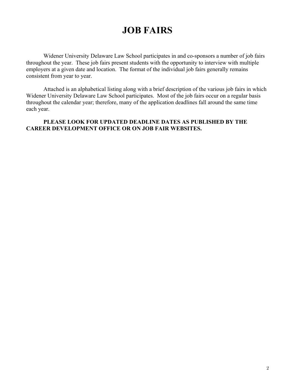### **JOB FAIRS**

Widener University Delaware Law School participates in and co-sponsors a number of job fairs throughout the year. These job fairs present students with the opportunity to interview with multiple employers at a given date and location. The format of the individual job fairs generally remains consistent from year to year.

Attached is an alphabetical listing along with a brief description of the various job fairs in which Widener University Delaware Law School participates. Most of the job fairs occur on a regular basis throughout the calendar year; therefore, many of the application deadlines fall around the same time each year.

#### **PLEASE LOOK FOR UPDATED DEADLINE DATES AS PUBLISHED BY THE CAREER DEVELOPMENT OFFICE OR ON JOB FAIR WEBSITES.**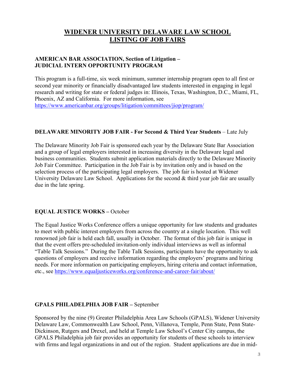### **WIDENER UNIVERSITY DELAWARE LAW SCHOOL LISTING OF JOB FAIRS**

#### **AMERICAN BAR ASSOCIATION, Section of Litigation – JUDICIAL INTERN OPPORTUNITY PROGRAM**

This program is a full-time, six week minimum, summer internship program open to all first or second year minority or financially disadvantaged law students interested in engaging in legal research and writing for state or federal judges in: Illinois, Texas, Washington, D.C., Miami, FL, Phoenix, AZ and California. For more information, see https://www.americanbar.org/groups/litigation/committees/jiop/program/

#### **DELAWARE MINORITY JOB FAIR - For Second & Third Year Students** – Late July

The Delaware Minority Job Fair is sponsored each year by the Delaware State Bar Association and a group of legal employers interested in increasing diversity in the Delaware legal and business communities. Students submit application materials directly to the Delaware Minority Job Fair Committee. Participation in the Job Fair is by invitation only and is based on the selection process of the participating legal employers. The job fair is hosted at Widener University Delaware Law School. Applications for the second & third year job fair are usually due in the late spring.

#### **EQUAL JUSTICE WORKS –** October

The Equal Justice Works Conference offers a unique opportunity for law students and graduates to meet with public interest employers from across the country at a single location. This well renowned job fair is held each fall, usually in October. The format of this job fair is unique in that the event offers pre-scheduled invitation-only individual interviews as well as informal "Table Talk Sessions." During the Table Talk Sessions, participants have the opportunity to ask questions of employers and receive information regarding the employers' programs and hiring needs. For more information on participating employers, hiring criteria and contact information, etc., see https://www.equaljusticeworks.org/conference-and-career-fair/about/

#### **GPALS PHILADELPHIA JOB FAIR –** September

Sponsored by the nine (9) Greater Philadelphia Area Law Schools (GPALS), Widener University Delaware Law, Commonwealth Law School, Penn, Villanova, Temple, Penn State, Penn State-Dickinson, Rutgers and Drexel, and held at Temple Law School's Center City campus, the GPALS Philadelphia job fair provides an opportunity for students of these schools to interview with firms and legal organizations in and out of the region. Student applications are due in mid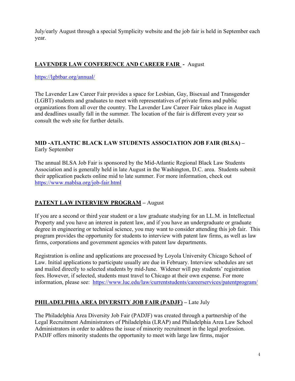July/early August through a special Symplicity website and the job fair is held in September each year.

#### **LAVENDER LAW CONFERENCE AND CAREER FAIR -** August

#### https://lgbtbar.org/annual/

The Lavender Law Career Fair provides a space for Lesbian, Gay, Bisexual and Transgender (LGBT) students and graduates to meet with representatives of private firms and public organizations from all over the country. The Lavender Law Career Fair takes place in August and deadlines usually fall in the summer. The location of the fair is different every year so consult the web site for further details.

#### **MID -ATLANTIC BLACK LAW STUDENTS ASSOCIATION JOB FAIR (BLSA) –** Early September

The annual BLSA Job Fair is sponsored by the Mid-Atlantic Regional Black Law Students Association and is generally held in late August in the Washington, D.C. area. Students submit their application packets online mid to late summer. For more information, check out https://www.mablsa.org/job-fair.html

#### **PATENT LAW INTERVIEW PROGRAM –** August

If you are a second or third year student or a law graduate studying for an LL.M. in Intellectual Property and you have an interest in patent law, and if you have an undergraduate or graduate degree in engineering or technical science, you may want to consider attending this job fair. This program provides the opportunity for students to interview with patent law firms, as well as law firms, corporations and government agencies with patent law departments.

Registration is online and applications are processed by Loyola University Chicago School of Law. Initial applications to participate usually are due in February. Interview schedules are set and mailed directly to selected students by mid-June. Widener will pay students' registration fees. However, if selected, students must travel to Chicago at their own expense. For more information, please see: https://www.luc.edu/law/currentstudents/careerservices/patentprogram/

#### **PHILADELPHIA AREA DIVERSITY JOB FAIR (PADJF) –** Late July

The Philadelphia Area Diversity Job Fair (PADJF) was created through a partnership of the Legal Recruitment Administrators of Philadelphia (LRAP) and Philadelphia Area Law School Administrators in order to address the issue of minority recruitment in the legal profession. PADJF offers minority students the opportunity to meet with large law firms, major